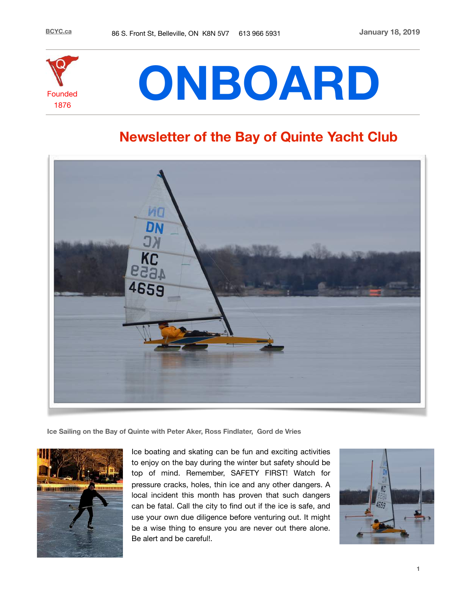

# **ONBOARD**

## **Newsletter of the Bay of Quinte Yacht Club**



**Ice Sailing on the Bay of Quinte with Peter Aker, Ross Findlater, Gord de Vries**



Ice boating and skating can be fun and exciting activities to enjoy on the bay during the winter but safety should be top of mind. Remember, SAFETY FIRST! Watch for pressure cracks, holes, thin ice and any other dangers. A local incident this month has proven that such dangers can be fatal. Call the city to find out if the ice is safe, and use your own due diligence before venturing out. It might be a wise thing to ensure you are never out there alone. Be alert and be careful!.

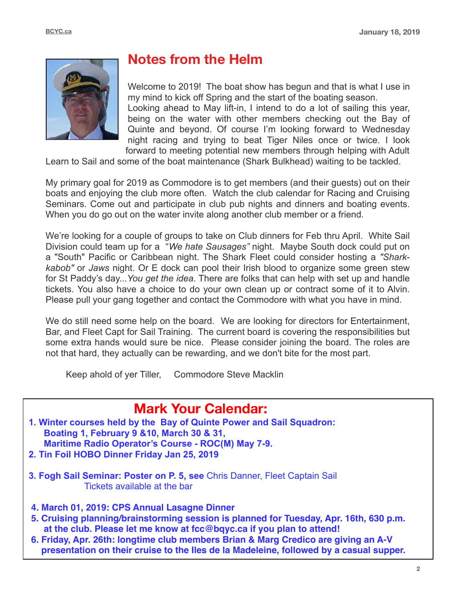

## **Notes from the Helm**

Welcome to 2019! The boat show has begun and that is what I use in my mind to kick off Spring and the start of the boating season. Looking ahead to May lift-in, I intend to do a lot of sailing this year, being on the water with other members checking out the Bay of Quinte and beyond. Of course I'm looking forward to Wednesday night racing and trying to beat Tiger Niles once or twice. I look forward to meeting potential new members through helping with Adult

Learn to Sail and some of the boat maintenance (Shark Bulkhead) waiting to be tackled.

My primary goal for 2019 as Commodore is to get members (and their guests) out on their boats and enjoying the club more often. Watch the club calendar for Racing and Cruising Seminars. Come out and participate in club pub nights and dinners and boating events. When you do go out on the water invite along another club member or a friend.

We're looking for a couple of groups to take on Club dinners for Feb thru April. White Sail Division could team up for a "*We hate Sausages"* night. Maybe South dock could put on a "South" Pacific or Caribbean night. The Shark Fleet could consider hosting a *"Sharkkabob"* or *Jaws* night. Or E dock can pool their Irish blood to organize some green stew for St Paddy's day...*You get the idea.* There are folks that can help with set up and handle tickets. You also have a choice to do your own clean up or contract some of it to Alvin. Please pull your gang together and contact the Commodore with what you have in mind.

We do still need some help on the board. We are looking for directors for Entertainment, Bar, and Fleet Capt for Sail Training. The current board is covering the responsibilities but some extra hands would sure be nice. Please consider joining the board. The roles are not that hard, they actually can be rewarding, and we don't bite for the most part.

Keep ahold of yer Tiller, Commodore Steve Macklin

## **Mark Your Calendar:**

- **1. Winter courses held by the Bay of Quinte Power and Sail Squadron: Boating 1, February 9 &10, March 30 & 31, Maritime Radio Operator's Course - ROC(M) May 7-9. 2. Tin Foil HOBO Dinner Friday Jan 25, 2019**
- **3. Fogh Sail Seminar: Poster on P. 5, see** Chris Danner, Fleet Captain Sail Tickets available at the bar
- **4. March 01, 2019: CPS Annual Lasagne Dinner**
- **5. Cruising planning/brainstorming session is planned for Tuesday, Apr. 16th, 630 p.m. at the club. Please let me know at fcc@bqyc.ca if you plan to attend!**
- **6. Friday, Apr. 26th: longtime club members Brian & Marg Credico are giving an A-V presentation on their cruise to the Iles de la Madeleine, followed by a casual supper.**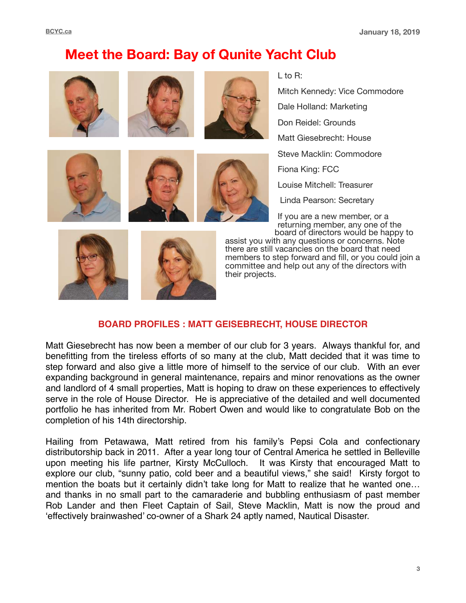## **Meet the Board: Bay of Qunite Yacht Club**













L to R:

Mitch Kennedy: Vice Commodore

Dale Holland: Marketing

Don Reidel: Grounds

Matt Giesebrecht: House

Steve Macklin: Commodore

Fiona King: FCC

Louise Mitchell: Treasurer

Linda Pearson: Secretary

If you are a new member, or a returning member, any one of the board of directors would be happy to





assist you with any questions or concerns. Note there are still vacancies on the board that need members to step forward and fill, or you could join a committee and help out any of the directors with their projects.

#### **BOARD PROFILES : MATT GEISEBRECHT, HOUSE DIRECTOR**

Matt Giesebrecht has now been a member of our club for 3 years. Always thankful for, and benefitting from the tireless efforts of so many at the club, Matt decided that it was time to step forward and also give a little more of himself to the service of our club. With an ever expanding background in general maintenance, repairs and minor renovations as the owner and landlord of 4 small properties, Matt is hoping to draw on these experiences to effectively serve in the role of House Director. He is appreciative of the detailed and well documented portfolio he has inherited from Mr. Robert Owen and would like to congratulate Bob on the completion of his 14th directorship.

Hailing from Petawawa, Matt retired from his family's Pepsi Cola and confectionary distributorship back in 2011. After a year long tour of Central America he settled in Belleville upon meeting his life partner, Kirsty McCulloch. It was Kirsty that encouraged Matt to explore our club, "sunny patio, cold beer and a beautiful views," she said! Kirsty forgot to mention the boats but it certainly didn't take long for Matt to realize that he wanted one… and thanks in no small part to the camaraderie and bubbling enthusiasm of past member Rob Lander and then Fleet Captain of Sail, Steve Macklin, Matt is now the proud and 'effectively brainwashed' co-owner of a Shark 24 aptly named, Nautical Disaster.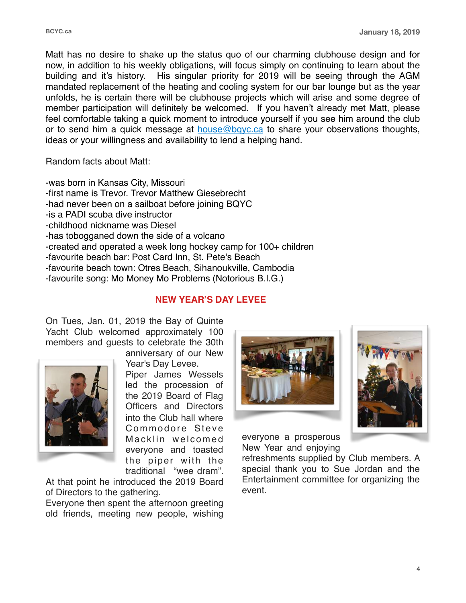Matt has no desire to shake up the status quo of our charming clubhouse design and for now, in addition to his weekly obligations, will focus simply on continuing to learn about the building and it's history. His singular priority for 2019 will be seeing through the AGM mandated replacement of the heating and cooling system for our bar lounge but as the year unfolds, he is certain there will be clubhouse projects which will arise and some degree of member participation will definitely be welcomed. If you haven't already met Matt, please feel comfortable taking a quick moment to introduce yourself if you see him around the club or to send him a quick message at  $house@bayc.ca$  to share your observations thoughts, ideas or your willingness and availability to lend a helping hand.

Random facts about Matt:

-was born in Kansas City, Missouri -first name is Trevor. Trevor Matthew Giesebrecht -had never been on a sailboat before joining BQYC -is a PADI scuba dive instructor -childhood nickname was Diesel -has tobogganed down the side of a volcano -created and operated a week long hockey camp for 100+ children -favourite beach bar: Post Card Inn, St. Pete's Beach -favourite beach town: Otres Beach, Sihanoukville, Cambodia -favourite song: Mo Money Mo Problems (Notorious B.I.G.)

#### **NEW YEAR'S DAY LEVEE**

On Tues, Jan. 01, 2019 the Bay of Quinte Yacht Club welcomed approximately 100 members and guests to celebrate the 30th



anniversary of our New Year's Day Levee.

Piper James Wessels led the procession of the 2019 Board of Flag Officers and Directors into the Club hall where Commodore Steve Macklin welcomed everyone and toasted the piper with the traditional "wee dram".

At that point he introduced the 2019 Board of Directors to the gathering.

Everyone then spent the afternoon greeting old friends, meeting new people, wishing





everyone a prosperous New Year and enjoying

refreshments supplied by Club members. A special thank you to Sue Jordan and the Entertainment committee for organizing the event.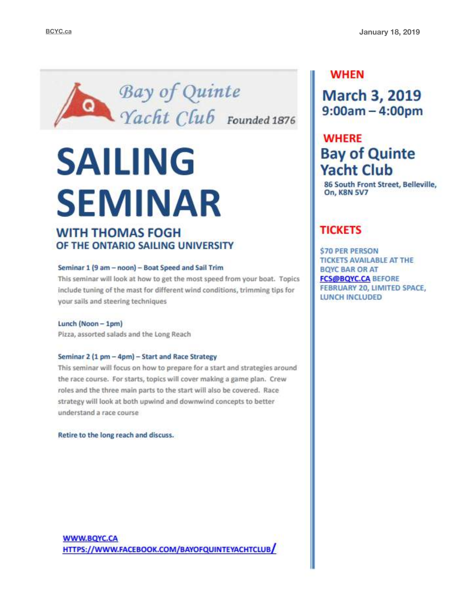

## **SAILING SEMINAR WITH THOMAS FOGH**

## OF THE ONTARIO SAILING UNIVERSITY

#### Seminar 1 (9 am - noon) - Boat Speed and Sail Trim

This seminar will look at how to get the most speed from your boat. Topics include tuning of the mast for different wind conditions, trimming tips for your sails and steering techniques

#### Lunch (Noon - 1pm)

Pizza, assorted salads and the Long Reach

#### Seminar 2 (1 pm - 4pm) - Start and Race Strategy

This seminar will focus on how to prepare for a start and strategies around the race course. For starts, topics will cover making a game plan. Crew roles and the three main parts to the start will also be covered. Race strategy will look at both upwind and downwind concepts to better understand a race course

Retire to the long reach and discuss.

## **WHEN**

**March 3, 2019**  $9:00am - 4:00pm$ 

## **WHERE Bay of Quinte Yacht Club**

86 South Front Street, Belleville, **On, K8N 5V7** 

## **TICKETS**

**\$70 PER PERSON TICKETS AVAILABLE AT THE BOYC BAR OR AT FCS@BQYC.CA BEFORE** FEBRUARY 20, LIMITED SPACE, **LUNCH INCLUDED**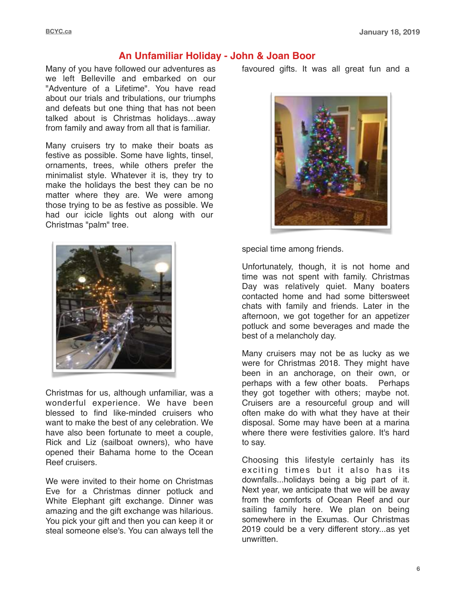## **An Unfamiliar Holiday - John & Joan Boor**

Many of you have followed our adventures as we left Belleville and embarked on our "Adventure of a Lifetime". You have read about our trials and tribulations, our triumphs and defeats but one thing that has not been talked about is Christmas holidays…away from family and away from all that is familiar.

Many cruisers try to make their boats as festive as possible. Some have lights, tinsel, ornaments, trees, while others prefer the minimalist style. Whatever it is, they try to make the holidays the best they can be no matter where they are. We were among those trying to be as festive as possible. We had our icicle lights out along with our Christmas "palm" tree.



Christmas for us, although unfamiliar, was a wonderful experience. We have been blessed to find like-minded cruisers who want to make the best of any celebration. We have also been fortunate to meet a couple, Rick and Liz (sailboat owners), who have opened their Bahama home to the Ocean Reef cruisers.

We were invited to their home on Christmas Eve for a Christmas dinner potluck and White Elephant gift exchange. Dinner was amazing and the gift exchange was hilarious. You pick your gift and then you can keep it or steal someone else's. You can always tell the

favoured gifts. It was all great fun and a



special time among friends.

Unfortunately, though, it is not home and time was not spent with family. Christmas Day was relatively quiet. Many boaters contacted home and had some bittersweet chats with family and friends. Later in the afternoon, we got together for an appetizer potluck and some beverages and made the best of a melancholy day.

Many cruisers may not be as lucky as we were for Christmas 2018. They might have been in an anchorage, on their own, or perhaps with a few other boats. Perhaps they got together with others; maybe not. Cruisers are a resourceful group and will often make do with what they have at their disposal. Some may have been at a marina where there were festivities galore. It's hard to say.

Choosing this lifestyle certainly has its exciting times but it also has its downfalls...holidays being a big part of it. Next year, we anticipate that we will be away from the comforts of Ocean Reef and our sailing family here. We plan on being somewhere in the Exumas. Our Christmas 2019 could be a very different story...as yet unwritten.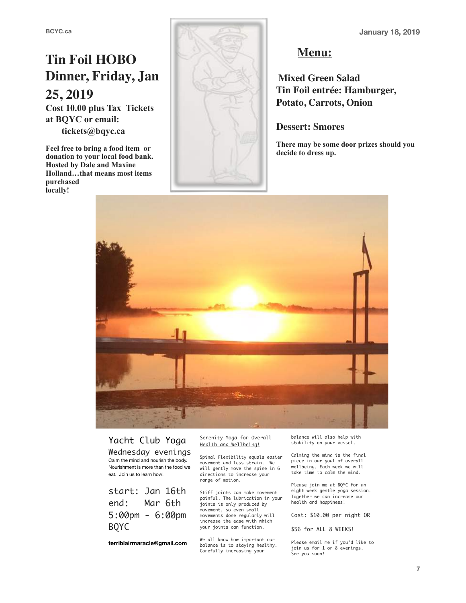## **Tin Foil HOBO Dinner, Friday, Jan 25, 2019**

**Cost 10.00 plus Tax Tickets at BQYC or email: tickets@bqyc.ca** 

**Feel free to bring a food item or donation to your local food bank. Hosted by Dale and Maxine Holland…that means most items purchased locally!** 



## **Menu:**

**Mixed Green Salad Tin Foil entrée: Hamburger, Potato, Carrots, Onion**

#### **Dessert: Smores**

**There may be some door prizes should you decide to dress up.**



## Yacht Club Yoga

Wednesday evenings Calm the mind and nourish the body. Nourishment is more than the food we eat. Join us to learn how!

start: Jan 16th end: Mar 6th 5:00pm - 6:00pm BQYC

**terriblairmaracle@gmail.com** 

Serenity Yoga for Overall Health and Wellbeing!

Spinal Flexibility equals easier movement and less strain. We will gently move the spine in 6 directions to increase your range of motion.

Stiff joints can make movement painful. The lubrication in your joints is only produced by movement, so even small movements done regularly will increase the ease with which your joints can function.

We all know how important our balance is to staying healthy. Carefully increasing your

balance will also help with stability on your vessel.

Calming the mind is the final piece in our goal of overall wellbeing. Each week we will take time to calm the mind.

Please join me at BQYC for an eight week gentle yoga session. Together we can increase our health and happiness!

Cost: \$10.00 per night OR

\$56 for ALL 8 WEEKS!

Please email me if you'd like to join us for 1 or 8 evenings. See you soon!